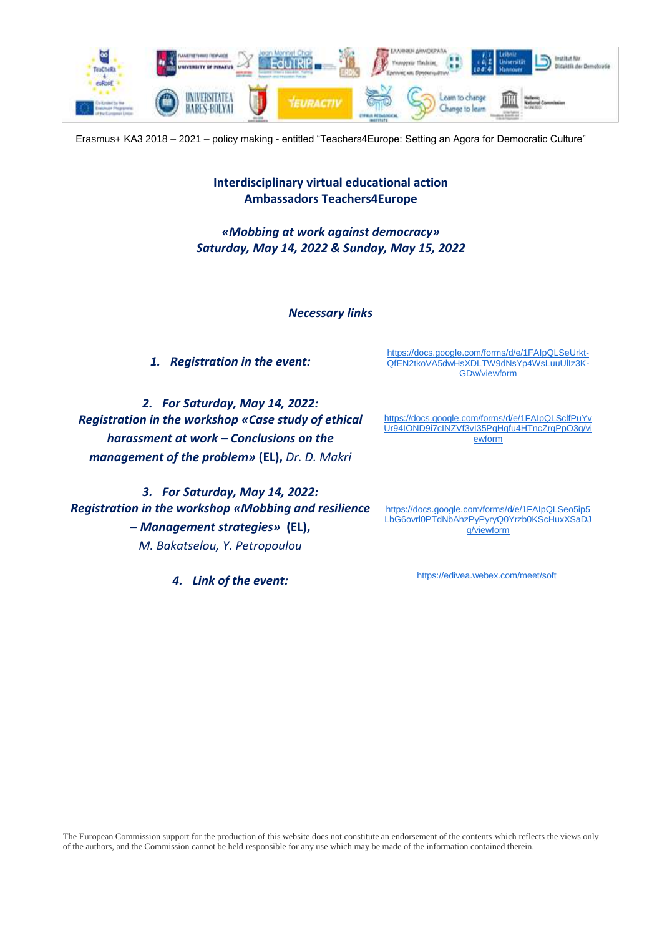

Erasmus+ ΚΑ3 2018 – 2021 – policy making - entitled "Teachers4Europe: Setting an Agora for Democratic Culture"

# **Interdisciplinary virtual educational action Ambassadors Teachers4Europe**

*«Mobbing at work against democracy» Saturday, May 14, 2022 & Sunday, May 15, 2022*

*Necessary links*

*1. Registration in the event:* 

*2. For Saturday, May 14, 2022: Registration in the workshop «Case study of ethical harassment at work – Conclusions on the management of the problem»* **(EL),** *Dr. D. Makri*

*3. For Saturday, May 14, 2022: Registration in the workshop «Mobbing and resilience – Management strategies»* **(EL),** *M. Bakatselou, Y. Petropoulou*

*4. Link of the event:*

[https://docs.google.com/forms/d/e/1FAIpQLSeUrkt-](https://docs.google.com/forms/d/e/1FAIpQLSeUrkt-QfEN2tkoVA5dwHsXDLTW9dNsYp4WsLuuUlIz3K-GDw/viewform)[QfEN2tkoVA5dwHsXDLTW9dNsYp4WsLuuUlIz3K-](https://docs.google.com/forms/d/e/1FAIpQLSeUrkt-QfEN2tkoVA5dwHsXDLTW9dNsYp4WsLuuUlIz3K-GDw/viewform)[GDw/viewform](https://docs.google.com/forms/d/e/1FAIpQLSeUrkt-QfEN2tkoVA5dwHsXDLTW9dNsYp4WsLuuUlIz3K-GDw/viewform)

[https://docs.google.com/forms/d/e/1FAIpQLSclfPuYv](https://docs.google.com/forms/d/e/1FAIpQLSclfPuYvUr94IOND9i7cINZVf3vI35PqHgfu4HTncZrgPpO3g/viewform) [Ur94IOND9i7cINZVf3vI35PqHgfu4HTncZrgPpO3g/vi](https://docs.google.com/forms/d/e/1FAIpQLSclfPuYvUr94IOND9i7cINZVf3vI35PqHgfu4HTncZrgPpO3g/viewform) [ewform](https://docs.google.com/forms/d/e/1FAIpQLSclfPuYvUr94IOND9i7cINZVf3vI35PqHgfu4HTncZrgPpO3g/viewform)

[https://docs.google.com/forms/d/e/1FAIpQLSeo5ip5](https://docs.google.com/forms/d/e/1FAIpQLSeo5ip5LbG6ovrl0PTdNbAhzPyPyryQ0Yrzb0KScHuxXSaDJg/viewform) [LbG6ovrl0PTdNbAhzPyPyryQ0Yrzb0KScHuxXSaDJ](https://docs.google.com/forms/d/e/1FAIpQLSeo5ip5LbG6ovrl0PTdNbAhzPyPyryQ0Yrzb0KScHuxXSaDJg/viewform) [g/viewform](https://docs.google.com/forms/d/e/1FAIpQLSeo5ip5LbG6ovrl0PTdNbAhzPyPyryQ0Yrzb0KScHuxXSaDJg/viewform)

<https://edivea.webex.com/meet/soft>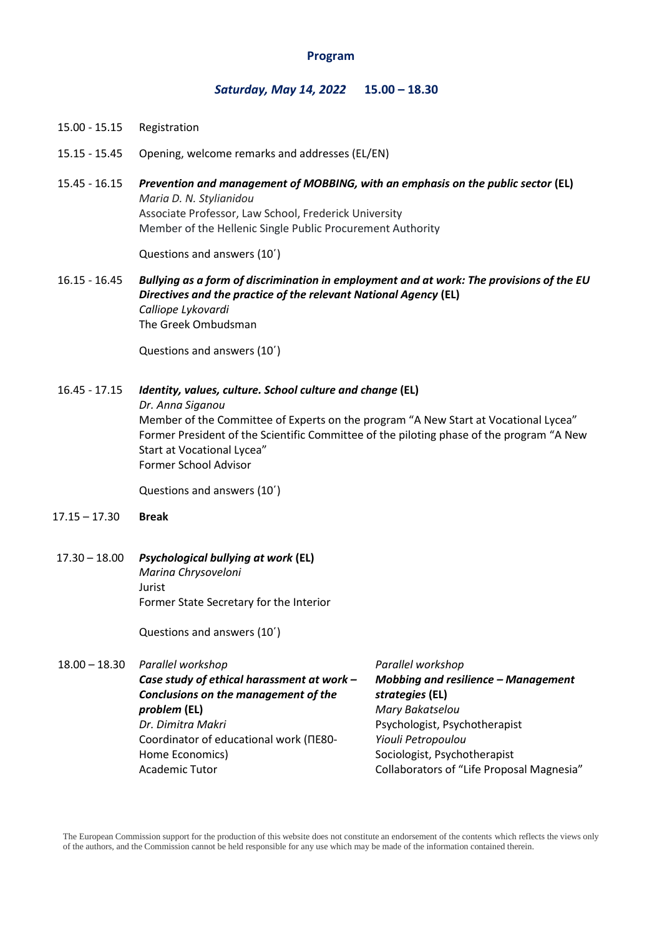### **Program**

#### *Saturday, May 14, 2022* **15.00 – 18.30**

- 15.00 15.15 Registration
- 15.15 15.45 Opening, welcome remarks and addresses (EL/EN)
- 15.45 16.15 *Prevention and management of MOBBING, with an emphasis on the public sector* **(EL)** *Maria D. N. Stylianidou* Associate Professor, Law School, Frederick University Member of the Hellenic Single Public Procurement Authority

Questions and answers (10΄)

16.15 - 16.45 *Bullying as a form of discrimination in employment and at work: The provisions of the EU Directives and the practice of the relevant National Agency* **(EL)** *Calliope Lykovardi*  The Greek Ombudsman

Questions and answers (10΄)

## 16.45 - 17.15 *Identity, values, culture. School culture and change* **(EL)**

*Dr. Anna Siganou*

Member of the Committee of Experts on the program "A New Start at Vocational Lycea" Former President of the Scientific Committee of the piloting phase of the program "A New Start at Vocational Lycea" Former School Advisor

Questions and answers (10΄)

- 17.15 17.30 **Break**
- 17.30 18.00 *Psychological bullying at work* **(EL)**  *Marina Chrysoveloni*  Jurist Former State Secretary for the Interior

Questions and answers (10΄)

18.00 – 18.30 *Parallel workshop*

*Case study of ethical harassment at work – Conclusions on the management of the problem* **(EL)** *Dr. Dimitra Makri* Coordinator of educational work (ΠΕ80- Home Economics) Academic Tutor

*Parallel workshop Mobbing and resilience – Management strategies* **(EL)** *Mary Bakatselou* Psychologist, Psychotherapist *Yiouli Petropoulou* Sociologist, Psychotherapist Collaborators of "Life Proposal Magnesia"